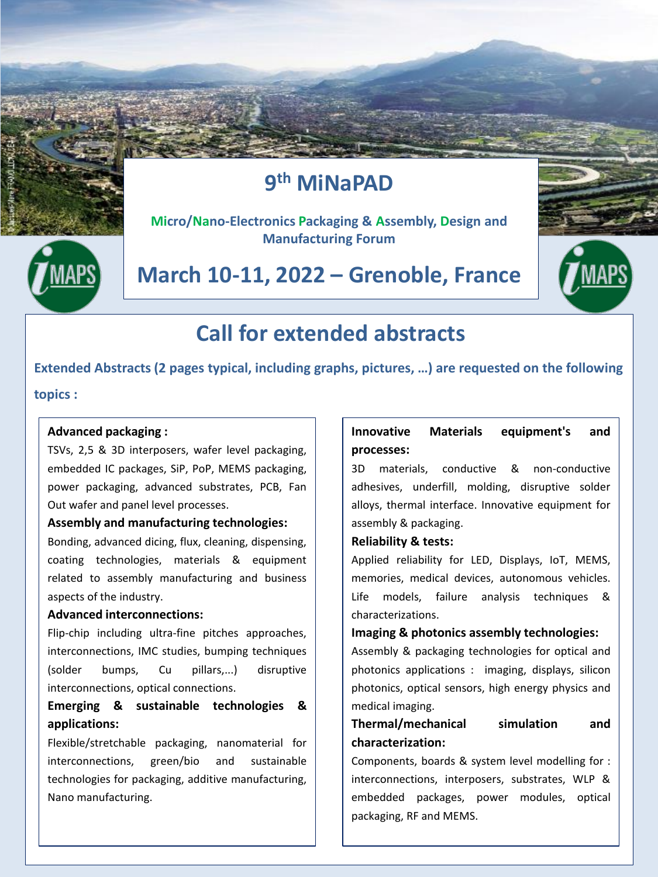## **9 th MiNaPAD**



**Micro/Nano-Electronics Packaging & Assembly, Design and Manufacturing Forum**

## **March 10-11, 2022 – Grenoble, France**



## **Call for extended abstracts**

**Extended Abstracts (2 pages typical, including graphs, pictures, …) are requested on the following** 

**topics :** 

#### **Advanced packaging :**

TSVs, 2,5 & 3D interposers, wafer level packaging, embedded IC packages, SiP, PoP, MEMS packaging, power packaging, advanced substrates, PCB, Fan Out wafer and panel level processes.

#### **Assembly and manufacturing technologies:**

Bonding, advanced dicing, flux, cleaning, dispensing, coating technologies, materials & equipment related to assembly manufacturing and business aspects of the industry.

#### **Advanced interconnections:**

Flip-chip including ultra-fine pitches approaches, interconnections, IMC studies, bumping techniques (solder bumps, Cu pillars,...) disruptive interconnections, optical connections.

### **Emerging & sustainable technologies & applications:**

Flexible/stretchable packaging, nanomaterial for interconnections, green/bio and sustainable technologies for packaging, additive manufacturing, Nano manufacturing.

### **Innovative Materials equipment's and processes:**

3D materials, conductive & non-conductive adhesives, underfill, molding, disruptive solder alloys, thermal interface. Innovative equipment for assembly & packaging.

#### **Reliability & tests:**

Applied reliability for LED, Displays, IoT, MEMS, memories, medical devices, autonomous vehicles. Life models, failure analysis techniques & characterizations.

#### **Imaging & photonics assembly technologies:**

Assembly & packaging technologies for optical and photonics applications : imaging, displays, silicon photonics, optical sensors, high energy physics and medical imaging.

## **Thermal/mechanical simulation and characterization:**

Components, boards & system level modelling for : interconnections, interposers, substrates, WLP & embedded packages, power modules, optical packaging, RF and MEMS.